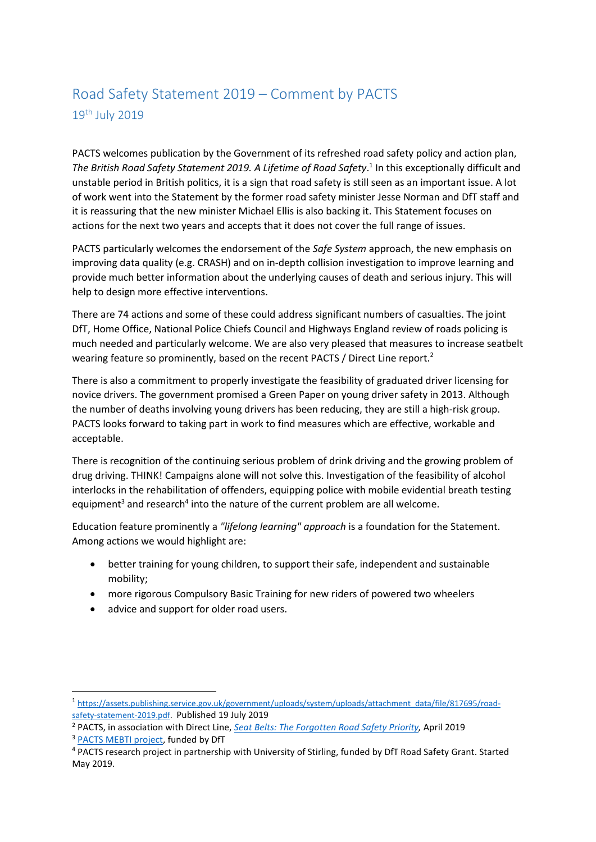## Road Safety Statement 2019 – Comment by PACTS 19th July 2019

PACTS welcomes publication by the Government of its refreshed road safety policy and action plan, The British Road Safety Statement 2019. A Lifetime of Road Safety.<sup>1</sup> In this exceptionally difficult and unstable period in British politics, it is a sign that road safety is still seen as an important issue. A lot of work went into the Statement by the former road safety minister Jesse Norman and DfT staff and it is reassuring that the new minister Michael Ellis is also backing it. This Statement focuses on actions for the next two years and accepts that it does not cover the full range of issues.

PACTS particularly welcomes the endorsement of the *Safe System* approach, the new emphasis on improving data quality (e.g. CRASH) and on in-depth collision investigation to improve learning and provide much better information about the underlying causes of death and serious injury. This will help to design more effective interventions.

There are 74 actions and some of these could address significant numbers of casualties. The joint DfT, Home Office, National Police Chiefs Council and Highways England review of roads policing is much needed and particularly welcome. We are also very pleased that measures to increase seatbelt wearing feature so prominently, based on the recent PACTS / Direct Line report.<sup>2</sup>

There is also a commitment to properly investigate the feasibility of graduated driver licensing for novice drivers. The government promised a Green Paper on young driver safety in 2013. Although the number of deaths involving young drivers has been reducing, they are still a high-risk group. PACTS looks forward to taking part in work to find measures which are effective, workable and acceptable.

There is recognition of the continuing serious problem of drink driving and the growing problem of drug driving. THINK! Campaigns alone will not solve this. Investigation of the feasibility of alcohol interlocks in the rehabilitation of offenders, equipping police with mobile evidential breath testing equipment<sup>3</sup> and research<sup>4</sup> into the nature of the current problem are all welcome.

Education feature prominently a *"lifelong learning" approach* is a foundation for the Statement. Among actions we would highlight are:

- better training for young children, to support their safe, independent and sustainable mobility;
- more rigorous Compulsory Basic Training for new riders of powered two wheelers
- advice and support for older road users.

<sup>2</sup> PACTS, in association with Direct Line, *[Seat Belts: The Forgotten Road Safety Priority,](http://www.pacts.org.uk/2019/04/pacts-launches-new-report-seat-belts-the-forgotten-road-safety-priority/)* April 2019

**.** 

<sup>1</sup> [https://assets.publishing.service.gov.uk/government/uploads/system/uploads/attachment\\_data/file/817695/road](https://assets.publishing.service.gov.uk/government/uploads/system/uploads/attachment_data/file/817695/road-safety-statement-2019.pdf)[safety-statement-2019.pdf.](https://assets.publishing.service.gov.uk/government/uploads/system/uploads/attachment_data/file/817695/road-safety-statement-2019.pdf) Published 19 July 2019

<sup>&</sup>lt;sup>3</sup> [PACTS MEBTI project,](http://www.pacts.org.uk/2019/03/another-step-towards-roadside-evidential-breathalysers-mebti-competition-stage-2/) funded by DfT

<sup>4</sup> PACTS research project in partnership with University of Stirling, funded by DfT Road Safety Grant. Started May 2019.